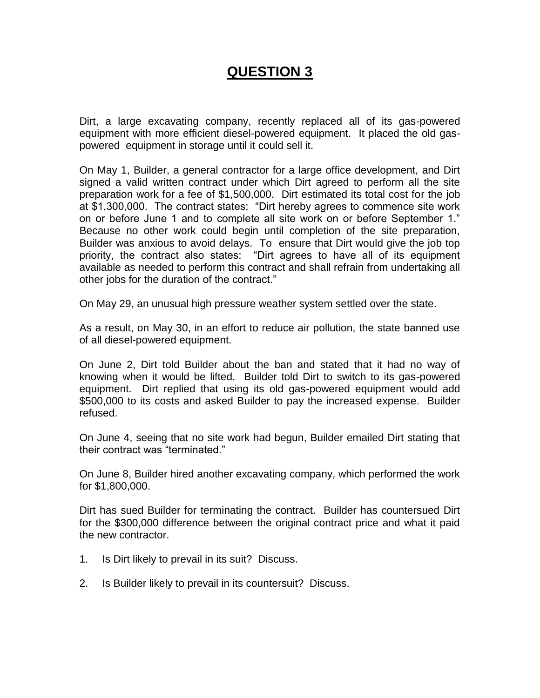# **QUESTION 3**

Dirt, a large excavating company, recently replaced all of its gas-powered equipment with more efficient diesel-powered equipment. It placed the old gaspowered equipment in storage until it could sell it.

On May 1, Builder, a general contractor for a large office development, and Dirt signed a valid written contract under which Dirt agreed to perform all the site preparation work for a fee of \$1,500,000. Dirt estimated its total cost for the job at \$1,300,000. The contract states: "Dirt hereby agrees to commence site work on or before June 1 and to complete all site work on or before September 1." Because no other work could begin until completion of the site preparation, Builder was anxious to avoid delays. To ensure that Dirt would give the job top priority, the contract also states: "Dirt agrees to have all of its equipment available as needed to perform this contract and shall refrain from undertaking all other jobs for the duration of the contract."

On May 29, an unusual high pressure weather system settled over the state.

As a result, on May 30, in an effort to reduce air pollution, the state banned use of all diesel-powered equipment.

On June 2, Dirt told Builder about the ban and stated that it had no way of knowing when it would be lifted. Builder told Dirt to switch to its gas-powered equipment. Dirt replied that using its old gas-powered equipment would add \$500,000 to its costs and asked Builder to pay the increased expense. Builder refused.

On June 4, seeing that no site work had begun, Builder emailed Dirt stating that their contract was "terminated."

On June 8, Builder hired another excavating company, which performed the work for \$1,800,000.

Dirt has sued Builder for terminating the contract. Builder has countersued Dirt for the \$300,000 difference between the original contract price and what it paid the new contractor.

- 1. Is Dirt likely to prevail in its suit? Discuss.
- 2. Is Builder likely to prevail in its countersuit? Discuss.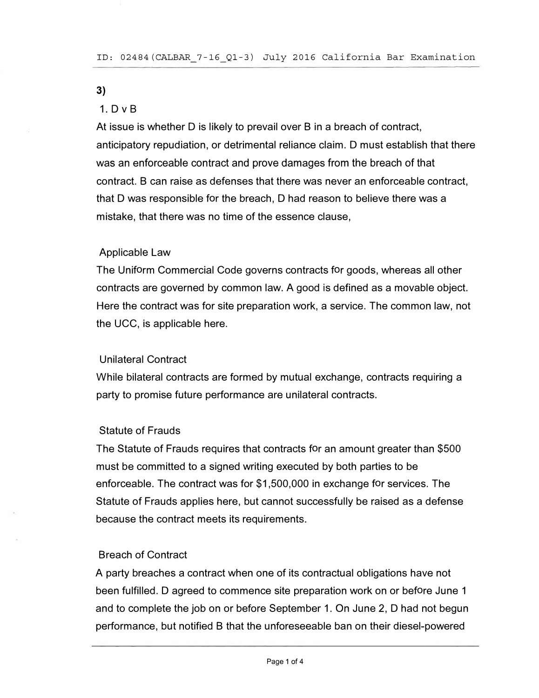#### **3)**

## 1. D v B

At issue is whether D is likely to prevail over B in a breach of contract, anticipatory repudiation, or detrimental reliance claim. D must establish that there was an enforceable contract and prove damages from the breach of that contract. B can raise as defenses that there was never an enforceable contract, that D was responsible for the breach, D had reason to believe there was a mistake, that there was no time of the essence clause,

### Applicable Law

The Uniform Commercial Code governs contracts for goods, whereas all other contracts are governed by common law. A good is defined as a movable object. Here the contract was for site preparation work, a service. The common law, not the UCC, is applicable here.

### Unilateral Contract

While bilateral contracts are formed by mutual exchange, contracts requiring a party to promise future performance are unilateral contracts.

### Statute of Frauds

The Statute of Frauds requires that contracts for an amount greater than \$500 must be committed to a signed writing executed by both parties to be enforceable. The contract was for \$1,500,000 in exchange for services. The Statute of Frauds applies here, but cannot successfully be raised as a defense because the contract meets its requirements.

### Breach of Contract

A party breaches a contract when one of its contractual obligations have not been fulfilled. D agreed to commence site preparation work on or before June 1 and to complete the job on or before September 1. On June 2, D had not begun performance, but notified B that the unforeseeable ban on their diesel-powered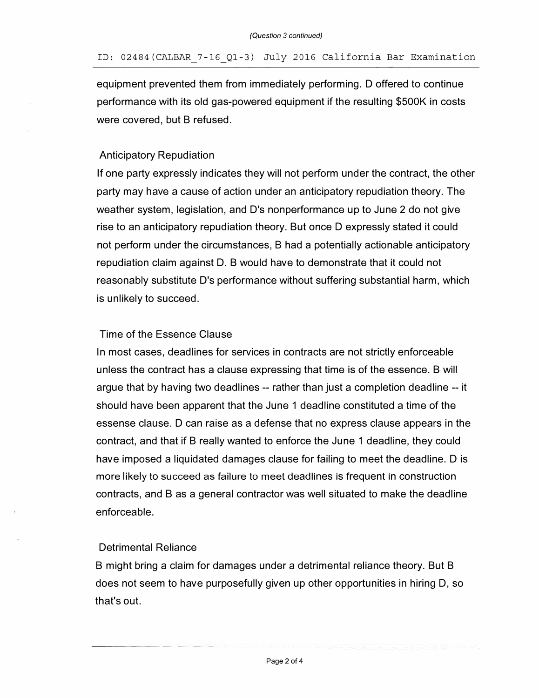equipment prevented them from immediately performing. D offered to continue performance with its old gas-powered equipment if the resulting \$500K in costs were covered, but B refused.

## Anticipatory Repudiation

If one party expressly indicates they will not perform under the contract, the other party may have a cause of action under an anticipatory repudiation theory. The weather system, legislation, and D's nonperformance up to June 2 do not give rise to an anticipatory repudiation theory. But once D expressly stated it could not perform under the circumstances, B had a potentially actionable anticipatory repudiation claim against D. B would have to demonstrate that it could not reasonably substitute D's performance without suffering substantial harm, which is unlikely to succeed.

## Time of the Essence Clause

In most cases, deadlines for services in contracts are not strictly enforceable unless the contract has a clause expressing that time is of the essence. B will argue that by having two deadlines -- rather than just a completion deadline -- it should have been apparent that the June 1 deadline constituted a time of the essense clause. D can raise as a defense that no express clause appears in the contract, and that if B really wanted to enforce the June 1 deadline, they could have imposed a liquidated damages clause for failing to meet the deadline. D is more likely to succeed as failure to meet deadlines is frequent in construction contracts, and B as a general contractor was well situated to make the deadline enforceable.

## Detrimental Reliance

B might bring a claim for damages under a detrimental reliance theory. But B does not seem to have purposefully given up other opportunities in hiring D, so that's out.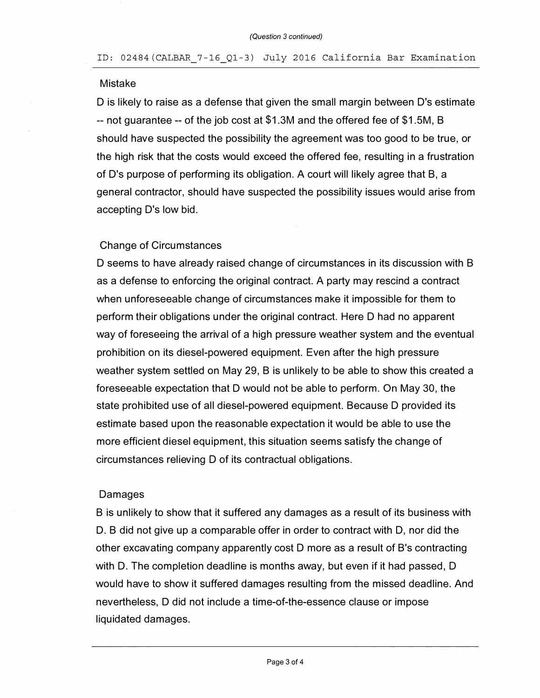#### Mistake

D is likely to raise as a defense that given the small margin between D's estimate -- not guarantee -- of the job cost at \$1.3M and the offered fee of \$1.5M, B should have suspected the possibility the agreement was too good to be true, or the high risk that the costs would exceed the offered fee, resulting in a frustration of D's purpose of performing its obligation. A court will likely agree that B, a general contractor, should have suspected the possibility issues would arise from accepting D's low bid.

#### Change of Circumstances

D seems to have already raised change of circumstances in its discussion with B as a defense to enforcing the original contract. A party may rescind a contract when unforeseeable change of circumstances make it impossible for them to perform their obligations under the original contract. Here D had no apparent way of foreseeing the arrival of a high pressure weather system and the eventual prohibition on its diesel-powered equipment. Even after the high pressure weather system settled on May 29, B is unlikely to be able to show this created a foreseeable expectation that D would not be able to perform. On May 30, the state prohibited use of all diesel-powered equipment. Because D provided its estimate based upon the reasonable expectation it would be able to use the more efficient diesel equipment, this situation seems satisfy the change of circumstances relieving D of its contractual obligations.

### Damages

B is unlikely to show that it suffered any damages as a result of its business with D. B did not give up a comparable offer in order to contract with D, nor did the other excavating company apparently cost D more as a result of B's contracting with D. The completion deadline is months away, but even if it had passed, D would have to show it suffered damages resulting from the missed deadline. And nevertheless, D did not include a time-of-the-essence clause or impose liquidated damages.